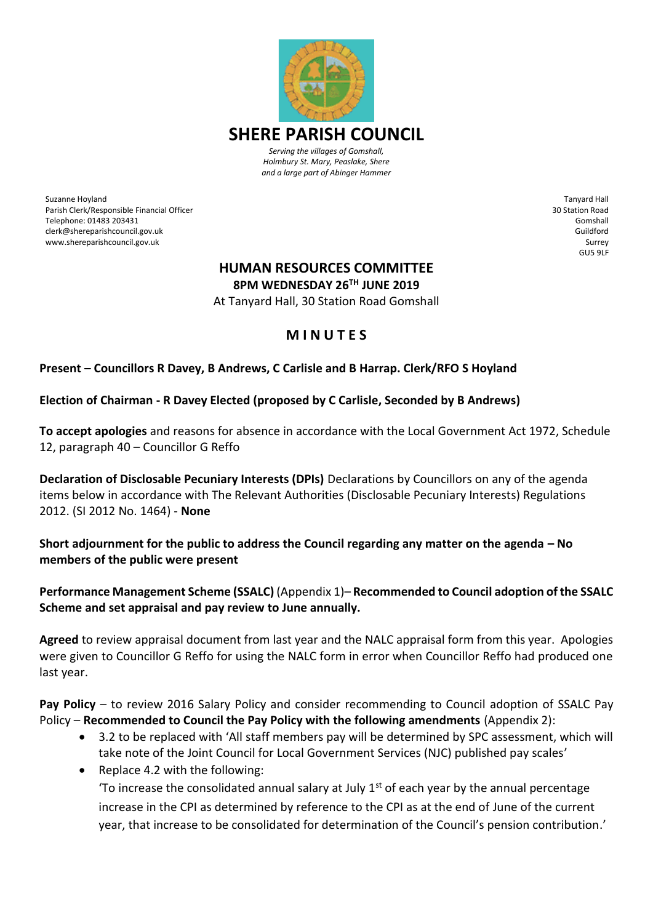

Suzanne Hoyland Parish Clerk/Responsible Financial Officer Telephone: 01483 203431 clerk@shereparishcouncil.gov.uk www.shereparishcouncil.gov.uk

Tanyard Hall 30 Station Road Gomshall Guildford Surrey GU5 9LF

# **HUMAN RESOURCES COMMITTEE**

**8PM WEDNESDAY 26TH JUNE 2019**

At Tanyard Hall, 30 Station Road Gomshall

# **M I N U T E S**

# **Present – Councillors R Davey, B Andrews, C Carlisle and B Harrap. Clerk/RFO S Hoyland**

#### **Election of Chairman - R Davey Elected (proposed by C Carlisle, Seconded by B Andrews)**

**To accept apologies** and reasons for absence in accordance with the Local Government Act 1972, Schedule 12, paragraph 40 – Councillor G Reffo

**Declaration of Disclosable Pecuniary Interests (DPIs)** Declarations by Councillors on any of the agenda items below in accordance with The Relevant Authorities (Disclosable Pecuniary Interests) Regulations 2012. (SI 2012 No. 1464) - **None**

**Short adjournment for the public to address the Council regarding any matter on the agenda – No members of the public were present** 

**Performance Management Scheme (SSALC)** (Appendix 1)– **Recommended to Council adoption of the SSALC Scheme and set appraisal and pay review to June annually.**

**Agreed** to review appraisal document from last year and the NALC appraisal form from this year. Apologies were given to Councillor G Reffo for using the NALC form in error when Councillor Reffo had produced one last year.

**Pay Policy** – to review 2016 Salary Policy and consider recommending to Council adoption of SSALC Pay Policy – **Recommended to Council the Pay Policy with the following amendments** (Appendix 2):

- 3.2 to be replaced with 'All staff members pay will be determined by SPC assessment, which will take note of the Joint Council for Local Government Services (NJC) published pay scales'
- Replace 4.2 with the following:

To increase the consolidated annual salary at July  $1<sup>st</sup>$  of each year by the annual percentage increase in the CPI as determined by reference to the CPI as at the end of June of the current year, that increase to be consolidated for determination of the Council's pension contribution.'